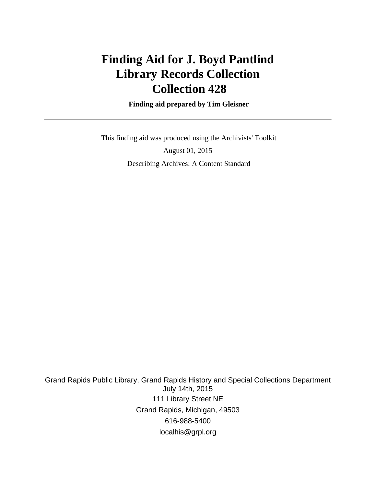# **Finding Aid for J. Boyd Pantlind Library Records Collection Collection 428**

 **Finding aid prepared by Tim Gleisner**

 This finding aid was produced using the Archivists' Toolkit August 01, 2015 Describing Archives: A Content Standard

Grand Rapids Public Library, Grand Rapids History and Special Collections Department July 14th, 2015 111 Library Street NE Grand Rapids, Michigan, 49503 616-988-5400 localhis@grpl.org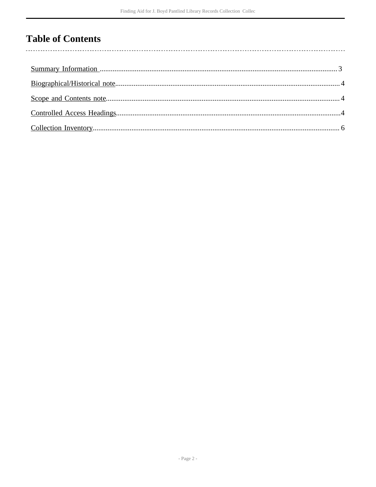## **Table of Contents**

l,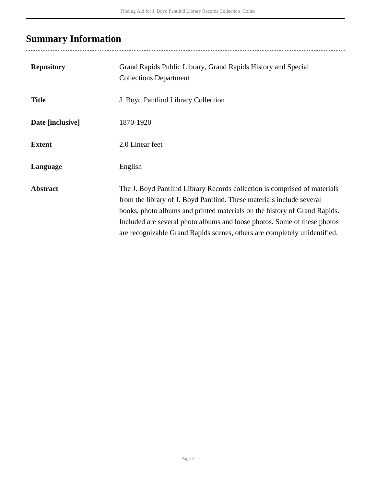### <span id="page-2-0"></span>**Summary Information**

| <b>Repository</b> | Grand Rapids Public Library, Grand Rapids History and Special<br><b>Collections Department</b>                                                                                                                                                                                                                                                                                           |
|-------------------|------------------------------------------------------------------------------------------------------------------------------------------------------------------------------------------------------------------------------------------------------------------------------------------------------------------------------------------------------------------------------------------|
| <b>Title</b>      | J. Boyd Pantlind Library Collection                                                                                                                                                                                                                                                                                                                                                      |
| Date [inclusive]  | 1870-1920                                                                                                                                                                                                                                                                                                                                                                                |
| <b>Extent</b>     | 2.0 Linear feet                                                                                                                                                                                                                                                                                                                                                                          |
| Language          | English                                                                                                                                                                                                                                                                                                                                                                                  |
| <b>Abstract</b>   | The J. Boyd Pantlind Library Records collection is comprised of materials<br>from the library of J. Boyd Pantlind. These materials include several<br>books, photo albums and printed materials on the history of Grand Rapids.<br>Included are several photo albums and loose photos. Some of these photos<br>are recognizable Grand Rapids scenes, others are completely unidentified. |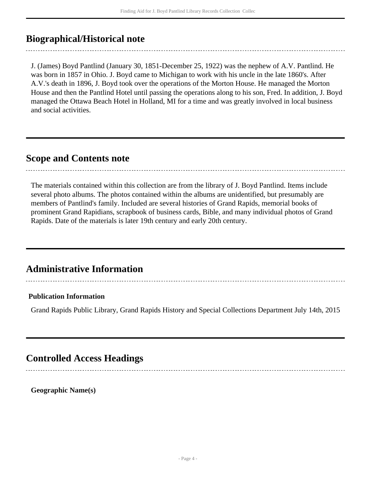### <span id="page-3-0"></span>**Biographical/Historical note**

J. (James) Boyd Pantlind (January 30, 1851-December 25, 1922) was the nephew of A.V. Pantlind. He was born in 1857 in Ohio. J. Boyd came to Michigan to work with his uncle in the late 1860's. After A.V.'s death in 1896, J. Boyd took over the operations of the Morton House. He managed the Morton House and then the Pantlind Hotel until passing the operations along to his son, Fred. In addition, J. Boyd managed the Ottawa Beach Hotel in Holland, MI for a time and was greatly involved in local business and social activities.

#### <span id="page-3-1"></span>**Scope and Contents note**

The materials contained within this collection are from the library of J. Boyd Pantlind. Items include several photo albums. The photos contained within the albums are unidentified, but presumably are members of Pantlind's family. Included are several histories of Grand Rapids, memorial books of prominent Grand Rapidians, scrapbook of business cards, Bible, and many individual photos of Grand Rapids. Date of the materials is later 19th century and early 20th century.

### **Administrative Information**

#### **Publication Information**

Grand Rapids Public Library, Grand Rapids History and Special Collections Department July 14th, 2015

### <span id="page-3-2"></span>**Controlled Access Headings**

**Geographic Name(s)**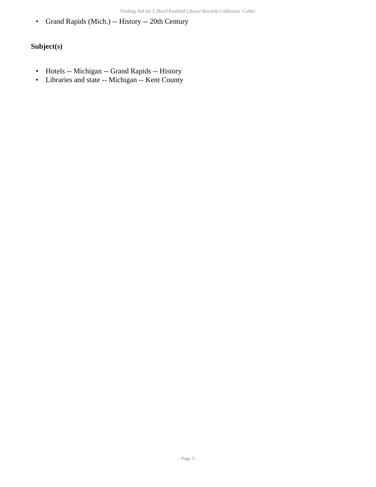• Grand Rapids (Mich.) -- History -- 20th Century

#### **Subject(s)**

- Hotels -- Michigan -- Grand Rapids -- History
- Libraries and state -- Michigan -- Kent County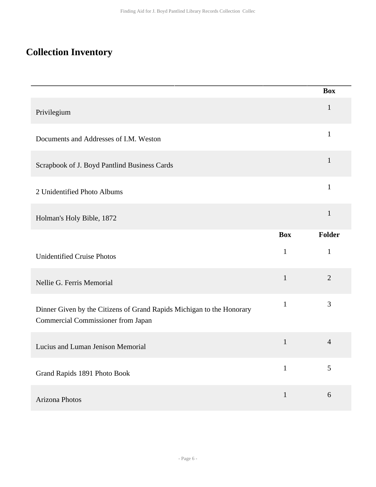### <span id="page-5-0"></span>**Collection Inventory**

|                                                                                                                    |              | <b>Box</b>     |
|--------------------------------------------------------------------------------------------------------------------|--------------|----------------|
| Privilegium                                                                                                        |              | $\mathbf{1}$   |
| Documents and Addresses of I.M. Weston                                                                             |              | $\mathbf{1}$   |
| Scrapbook of J. Boyd Pantlind Business Cards                                                                       |              | $\mathbf{1}$   |
| 2 Unidentified Photo Albums                                                                                        |              | $\mathbf{1}$   |
| Holman's Holy Bible, 1872                                                                                          |              | $\mathbf{1}$   |
|                                                                                                                    | <b>Box</b>   | Folder         |
| <b>Unidentified Cruise Photos</b>                                                                                  | 1            | $\mathbf{1}$   |
| Nellie G. Ferris Memorial                                                                                          | $\mathbf{1}$ | $\overline{2}$ |
| Dinner Given by the Citizens of Grand Rapids Michigan to the Honorary<br><b>Commercial Commissioner from Japan</b> | $\mathbf{1}$ | 3              |
| Lucius and Luman Jenison Memorial                                                                                  | $\mathbf{1}$ | $\overline{4}$ |
| Grand Rapids 1891 Photo Book                                                                                       | $\mathbf{1}$ | $\mathfrak{S}$ |
| Arizona Photos                                                                                                     | $\mathbf{1}$ | $6\,$          |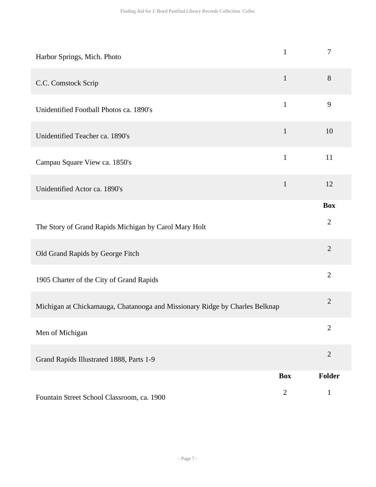| Harbor Springs, Mich. Photo                                                 | $\mathbf{1}$ | $\overline{7}$ |
|-----------------------------------------------------------------------------|--------------|----------------|
| C.C. Comstock Scrip                                                         | $\mathbf{1}$ | 8              |
| Unidentified Football Photos ca. 1890's                                     | $\mathbf{1}$ | 9              |
| Unidentified Teacher ca. 1890's                                             | $\mathbf{1}$ | 10             |
| Campau Square View ca. 1850's                                               | $\mathbf{1}$ | 11             |
| Unidentified Actor ca. 1890's                                               | $\mathbf{1}$ | 12             |
|                                                                             |              | <b>Box</b>     |
| The Story of Grand Rapids Michigan by Carol Mary Holt                       |              | $\overline{2}$ |
| Old Grand Rapids by George Fitch                                            |              | $\overline{2}$ |
| 1905 Charter of the City of Grand Rapids                                    |              | $\overline{2}$ |
| Michigan at Chickamauga, Chatanooga and Missionary Ridge by Charles Belknap |              | $\overline{2}$ |
| Men of Michigan                                                             |              | $\mathbf{2}$   |
| Grand Rapids Illustrated 1888, Parts 1-9                                    |              | $\overline{2}$ |
|                                                                             | <b>Box</b>   | Folder         |
| Fountain Street School Classroom, ca. 1900                                  | $\mathbf{2}$ | $\mathbf{1}$   |